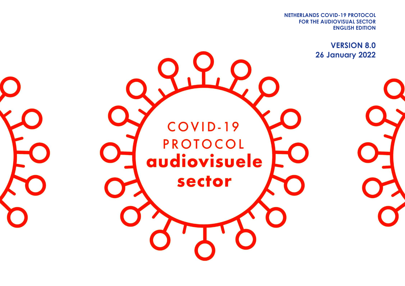**FOR THE AUDIOVISUAL SECTOR NETHERLANDS COVID-19 PROTOCOL ENGLISH EDITION**

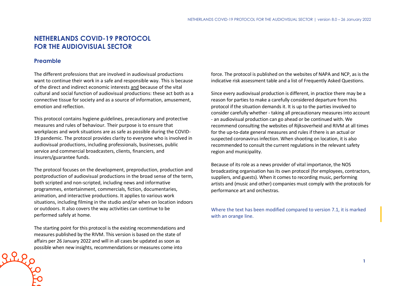# **NETHERLANDS COVID-19 PROTOCOL FOR THE AUDIOVISUAL SECTOR**

# **Preamble**

The different professions that are involved in audiovisual productions want to continue their work in a safe and responsible way. This is because of the direct and indirect economic interests and because of the vital cultural and social function of audiovisual productions: these act both as a connective tissue for society and as a source of information, amusement, emotion and reflection.

This protocol contains hygiene guidelines, precautionary and protective measures and rules of behaviour. Their purpose is to ensure that workplaces and work situations are as safe as possible during the COVID-19 pandemic. The protocol provides clarity to everyone who is involved in audiovisual productions, including professionals, businesses, public service and commercial broadcasters, clients, financiers, and insurers/guarantee funds.

The protocol focuses on the development, preproduction, production and postproduction of audiovisual productions in the broad sense of the term, both scripted and non-scripted, including news and informative programmes, entertainment, commercials, fiction, documentaries, animation, and interactive productions. It applies to various work situations, including filming in the studio and/or when on location indoors or outdoors. It also covers the way activities can continue to be performed safely at home.

The starting point for this protocol is the existing recommendations and measures published by the RIVM. This version is based on the state of affairs per 26 January 2022 and will in all cases be updated as soon as possible when new insights, recommendations or measures come into

force. The protocol is published on the websites of NAPA and NCP, as is the indicative risk assessment table and a list of Frequently Asked Questions.

Since every audiovisual production is different, in practice there may be a reason for parties to make a carefully considered departure from this protocol if the situation demands it. It is up to the parties involved to consider carefully whether - taking all precautionary measures into account - an audiovisual production can go ahead or be continued with. We recommend consulting the websites of Rijksoverheid and RIVM at all times for the up-to-date general measures and rules if there is an actual or suspected coronavirus infection. When shooting on location, it is also recommended to consult the current regulations in the relevant safety region and municipality.

Because of its role as a news provider of vital importance, the NOS broadcasting organisation has its own protocol (for employees, contractors, suppliers, and guests). When it comes to recording music, performing artists and (music and other) companies must comply with the protocols for performance art and orchestras.

Where the text has been modified compared to version 7.1, it is marked with an orange line.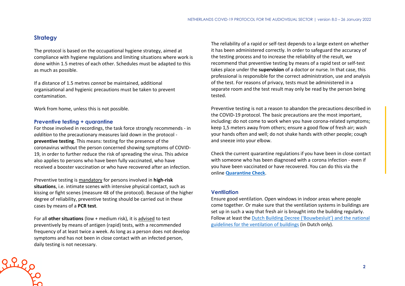# **Strategy**

Riles

The protocol is based on the occupational hygiene strategy, aimed at compliance with hygiene regulations and limiting situations where work is done within 1.5 metres of each other. Schedules must be adapted to this as much as possible.

If a distance of 1.5 metres *cannot* be maintained, additional organisational and hygienic precautions must be taken to prevent contamination.

Work from home, unless this is not possible.

#### **Preventive testing + quarantine**

For those involved in recordings, the task force strongly recommends - in *addition* to the precautionary measures laid down in the protocol **preventive testing**. This means: testing for the presence of the coronavirus without the person concerned showing symptoms of COVID-19, in order to further reduce the risk of spreading the virus. This advice also applies to persons who have been fully vaccinated, who have received a booster vaccination or who have recovered after an infection.

Preventive testing is mandatory for persons involved in **high-risk situations**, i.e. intimate scenes with intensive physical contact, such as kissing or fight scenes (measure 48 of the protocol). Because of the higher degree of reliability, preventive testing should be carried out in these cases by means of a **PCR test**.

For all **other situations** (low + medium risk), it is advised to test preventively by means of antigen (rapid) tests, with a recommended frequency of at least twice a week. As long as a person does not develop symptoms and has not been in close contact with an infected person, daily testing is not necessary.

The reliability of a rapid or self-test depends to a large extent on whether it has been administered correctly. In order to safeguard the accuracy of the testing process and to increase the reliability of the result, we recommend that preventive testing by means of a rapid test or self-test takes place under the **supervision** of a doctor or nurse. In that case, this professional is responsible for the correct administration, use and analysis of the test. For reasons of privacy, tests must be administered in a separate room and the test result may only be read by the person being tested.

Preventive testing is not a reason to abandon the precautions described in the COVID-19 protocol. The basic precautions are the most important, including: do not come to work when you have corona-related symptoms; keep 1,5 meters away from others; ensure a good flow of fresh air; wash your hands often and well; do not shake hands with other people; cough and sneeze into your elbow.

Check the current quarantine regulations if you have been in close contact with someone who has been diagnosed with a corona infection - even if you have been vaccinated or have recovered. You can do this via the online **[Quarantine Check](https://quarantainecheck.rijksoverheid.nl/en)**.

#### **Ventilation**

Ensure good ventilation. Open windows in indoor areas where people come together. Or make sure that the ventilation systems in buildings are set up in such a way that fresh air is brought into the building regularly. Follow at least the [Dutch Building Decree \('Bouwbesluit'\) and the national](https://rijksoverheid.bouwbesluit.com/Inhoud/docs/wet/bb2012_nvt/artikelsgewijs/hfd3/afd3-6)  [guidelines for the ventilation of buildings](https://rijksoverheid.bouwbesluit.com/Inhoud/docs/wet/bb2012_nvt/artikelsgewijs/hfd3/afd3-6) (in Dutch only).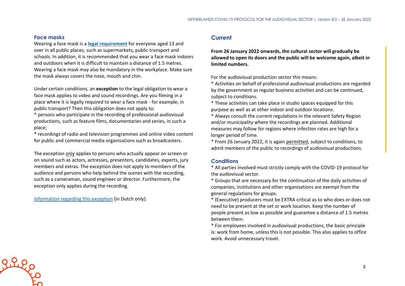#### **Face masks**

Wearing a face mask is a **[legal requirement](https://www.government.nl/topics/c/coronavirus-covid-19/face-masks-mandatory-in-several-places)** for everyone aged 13 and over in all public places, such as supermarkets, public transport and schools. In addition, it is recommended that you wear a face mask indoors and outdoors when it is difficult to maintain a distance of 1.5 metres. Wearing a face mask may also be mandatory in the workplace. Make sure the mask always covers the nose, mouth and chin.

Under certain conditions, an **exception** to the legal obligation to wear a face mask applies to video and sound recordings. Are you filming in a place where it is legally required to wear a face mask - for example, in public transport? Then this obligation does not apply to:

\* persons who participate in the recording of professional audiovisual productions, such as feature films, documentaries and series, in such a place;

\* recordings of radio and television programmes and online video content for public and commercial media organisations such as broadcasters.

The exception only applies to persons who actually appear on screen or on sound such as actors, actresses, presenters, candidates, experts, jury members and extras. The exception does not apply to members of the audience and persons who help behind the scenes with the recording, such as a cameraman, sound engineer or director. Furthermore, the exception only applies during the recording.

[Information regarding this exception](https://www.rijksoverheid.nl/onderwerpen/coronavirus-covid-19/mondkapjes/tijdens-het-werk) (in Dutch only).

### **Current**

**From 26 January 2022 onwards, the cultural sector will gradually be allowed to open its doors and the public will be welcome again, albeit in limited numbers.**

For the audiovisual production sector this means:

\* Activities on behalf of professional audiovisual productions are regarded by the government as regular business activities and can be continued, subject to conditions.

\* These activities can take place in studio spaces equipped for this purpose as well as at other indoor and outdoor locations.

\* Always consult the current regulations in the relevant Safety Region and/or municipality where the recordings are planned. Additional measures may follow for regions where infection rates are high for a longer period of time.

\* From 26 January 2022, it is again permitted, subject to conditions, to admit members of the public to recordings of audiovisual productions.

#### **Conditions**

\* All parties involved must strictly comply with the COVID-19 protocol for the audiovisual sector.

\* Groups that are necessary for the continuation of the daily activities of companies, institutions and other organisations are exempt from the general regulations for groups.

\* (Executive) producers must be EXTRA critical as to who does or does not need to be present at the set or work location. Keep the number of people present as low as possible and guarantee a distance of 1.5 metres between them.

\* For employees involved in audiovisual productions, the basic principle is: work from home, unless this is not possible. This also applies to office work. Avoid unnecessary travel.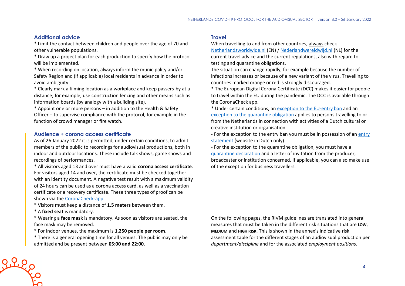#### **Additional advice**

\* Limit the contact between children and people over the age of 70 and other vulnerable populations.

\* Draw up a project plan for each production to specify how the protocol will be implemented.

\* When recording on location, always inform the municipality and/or Safety Region and (if applicable) local residents in advance in order to avoid ambiguity.

\* Clearly mark a filming location as a workplace and keep passers-by at a distance; for example, use construction fencing and other means such as information boards (by analogy with a building site).

\* Appoint one or more persons – in addition to the Health & Safety Officer – to supervise compliance with the protocol, for example in the function of crowd manager or fire watch.

#### **Audience + corona access certificate**

As of 26 January 2022 it is permitted, under certain conditions, to admit members of the public to recordings for audiovisual productions, both in indoor and outdoor locations. These include talk shows, game shows and recordings of performances.

\* All visitors aged 13 and over must have a valid **corona access certificate**. For visitors aged 14 and over, the certificate must be checked together with an identity document. A negative test result with a maximum validity of 24 hours can be used as a corona access card, as well as a vaccination certificate or a recovery certificate. These three types of proof can be shown via the [CoronaCheck-app.](https://coronacheck.nl/en/)

\* Visitors must keep a distance of **1.5 meters** between them.

\* A **fixed seat** is mandatory.

\* Wearing a **face mask** is mandatory. As soon as visitors are seated, the face mask may be removed.

\* For indoor venues, the maximum is **1,250 people per room**.

\* There is a general opening time for all venues. The public may only be admitted and be present between **05:00 and 22:00**.

#### **Travel**

When travelling to and from other countries, always check

[Netherlandsworldwide.nl](https://www.netherlandsworldwide.nl/) (EN) / [Nederlandwereldwijd.nl](https://www.nederlandwereldwijd.nl/) (NL) for the current travel advice and the current regulations, also with regard to testing and quarantine obligations.

The situation can change rapidly, for example because the number of infections increases or because of a new variant of the virus. Travelling to countries marked orange or red is strongly discouraged.

\* The European Digital Corona Certificate (DCC) makes it easier for people to travel within the EU during the pandemic. The DCC is available through the CoronaCheck app.

\* Under certain conditions, an [exception to the EU-entry ban](https://www.government.nl/topics/coronavirus-covid-19/visiting-the-netherlands-from-abroad/exemptions-to-the-entry-ban/professionals-in-the-cultural-and-creative-sectors) and an [exception to the quarantine obligation](https://www.government.nl/topics/coronavirus-covid-19/visiting-the-netherlands-from-abroad/self-quarantine/exceptions-mandatory-quarantine) applies to persons travelling to or from the Netherlands in connection with activities of a Dutch cultural or creative institution or organisation.

- For the exception to the entry ban you must be in possession of an [entry](https://www.inreisverklaringcultuur.nl/)  [statement](https://www.inreisverklaringcultuur.nl/) (website in Dutch only).

- For the exception to the quarantine obligation, you must have a [quarantine declaration](https://www.rijksoverheid.nl/onderwerpen/coronavirus-covid-19/documenten/publicaties/2021/05/20/quarantaineverklaring) and a letter of invitation from the producer, broadcaster or institution concerned. If applicable, you can also make use of the exception for business travellers.

On the following pages, the RIVM guidelines are translated into general measures that must be taken in the different risk situations that are **LOW**, **MEDIUM** and **HIGH RISK**. This is shown in the annex's indicative risk assessment table for the different stages of an audiovisual production per *department/discipline* and for the associated *employment positions*.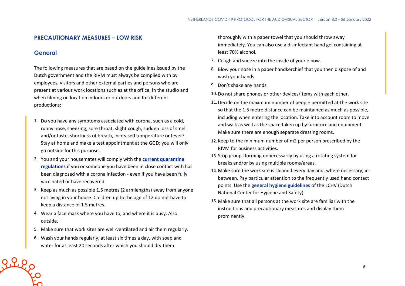# **PRECAUTIONARY MEASURES – LOW RISK**

# **General**

The following measures that are based on the guidelines issued by the Dutch government and the RIVM must always be complied with by employees, visitors and other external parties and persons who are present at various work locations such as at the office, in the studio and when filming on location indoors or outdoors and for different productions:

- 1. Do you have any symptoms associated with corona, such as a cold, runny nose, sneezing, sore throat, slight cough, sudden loss of smell and/or taste, shortness of breath, increased temperature or fever? Stay at home and make a test appointment at the GGD; you will only go outside for this purpose.
- 2. You and your housemates will comply with the **[current quarantine](https://quarantainecheck.rijksoverheid.nl/en)  [regulations](https://quarantainecheck.rijksoverheid.nl/en)** if you or someone you have been in close contact with has been diagnosed with a corona infection - even if you have been fully vaccinated or have recovered.
- 3. Keep as much as possible 1.5 metres (2 armlengths) away from anyone not living in your house. Children up to the age of 12 do not have to keep a distance of 1.5 metres.
- 4. Wear a face mask where you have to, and where it is busy. Also outside.
- 5. Make sure that work sites are well-ventilated and air them regularly.
- 6. Wash your hands regularly, at least six times a day, with soap and water for at least 20 seconds after which you should dry them

thoroughly with a paper towel that you should throw away immediately. You can also use a disinfectant hand gel containing at least 70% alcohol.

- 7. Cough and sneeze into the inside of your elbow.
- 8. Blow your nose in a paper handkerchief that you then dispose of and wash your hands.
- 9. Don't shake any hands.
- 10. Do not share phones or other devices/items with each other.
- 11. Decide on the maximum number of people permitted at the work site so that the 1.5 metre distance can be maintained as much as possible, including when entering the location. Take into account room to move and walk as well as the space taken up by furniture and equipment. Make sure there are enough separate dressing rooms.
- 12. Keep to the minimum number of m2 per person prescribed by the RIVM for business activities.
- 13. Stop groups forming unnecessarily by using a rotating system for breaks and/or by using multiple rooms/areas.
- 14. Make sure the work site is cleaned every day and, where necessary, inbetween. Pay particular attention to the frequently used hand contact points. Use the **[general hygiene guidelines](https://www.rivm.nl/hygienerichtlijnen/algemeen)** of the LCHV (Dutch National Center for Hygiene and Safety).
- 15. Make sure that all persons at the work site are familiar with the instructions and precautionary measures and display them prominently.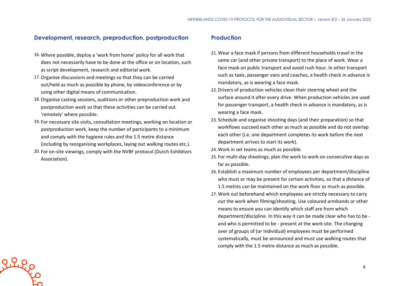# **Development, research, preproduction, postproduction**

- 16. Where possible, deploy a 'work from home' policy for all work that does not necessarily have to be done at the office or on location, such as script development, research and editorial work.
- 17.Organise discussions and meetings so that they can be carried out/held as much as possible by phone, by videoconference or by using other digital means of communication.
- 18.Organise casting sessions, auditions or other preproduction work and postproduction work so that these activities can be carried out 'remotely' where possible.
- 19. For necessary site visits, consultation meetings, working on location or postproduction work, keep the number of participants to a minimum and comply with the hygiene rules and the 1.5 metre distance (including by reorganising workplaces, laying out walking routes etc.).
- 20. For on-site viewings, comply with the NVBF protocol (Dutch Exhibitors Association).

 $2220$ 

#### **Production**

- 21. Wear a face mask if persons from different households travel in the same car (and other private transport) to the place of work. Wear a face mask on public transport and avoid rush hour. In other transport such as taxis, passenger vans and coaches, a health check in advance is mandatory, as is wearing a face mask.
- 22. Drivers of production vehicles clean their steering wheel and the surface around it after every drive. When production vehicles are used for passenger transport, a health check in advance is mandatory, as is wearing a face mask.
- 23. Schedule and organise shooting days (and their preparation) so that workflows succeed each other as much as possible and do not overlap each other (i.e. one department completes its work before the next department arrives to start its work).
- 24. Work in set teams as much as possible.
- 25. For multi-day shootings, plan the work to work on consecutive days as far as possible.
- 26. Establish a maximum number of employees per department/discipline who must or may be present for certain activities, so that a distance of 1.5 metres can be maintained on the work floor as much as possible.
- 27. Work out beforehand which employees are strictly necessary to carry out the work when filming/shooting. Use coloured armbands or other means to ensure you can identify which staff are from which department/discipline. In this way it can be made clear who has to be and who is permitted to be - present at the work site. The changing over of groups of (or individual) employees must be performed systematically, must be announced and must use walking routes that comply with the 1.5 metre distance as much as possible.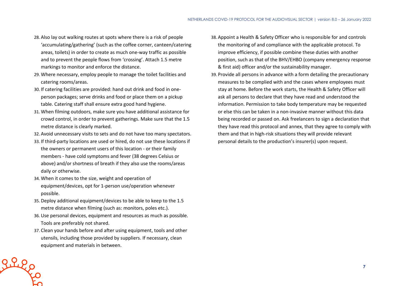- 28. Also lay out walking routes at spots where there is a risk of people 'accumulating/gathering' (such as the coffee corner, canteen/catering areas, toilets) in order to create as much one-way traffic as possible and to prevent the people flows from 'crossing'. Attach 1.5 metre markings to monitor and enforce the distance.
- 29. Where necessary, employ people to manage the toilet facilities and catering rooms/areas.
- 30. If catering facilities are provided: hand out drink and food in oneperson packages; serve drinks and food or place them on a pickup table. Catering staff shall ensure extra good hand hygiene.
- 31. When filming outdoors, make sure you have additional assistance for crowd control, in order to prevent gatherings. Make sure that the 1.5 metre distance is clearly marked.
- 32. Avoid unnecessary visits to sets and do not have too many spectators.
- 33. If third-party locations are used or hired, do not use these locations if the owners or permanent users of this location - or their family members - have cold symptoms and fever (38 degrees Celsius or above) and/or shortness of breath if they also use the rooms/areas daily or otherwise.
- 34. When it comes to the size, weight and operation of equipment/devices, opt for 1-person use/operation whenever possible.
- 35. Deploy additional equipment/devices to be able to keep to the 1.5 metre distance when filming (such as: monitors, poles etc.).
- 36.Use personal devices, equipment and resources as much as possible. Tools are preferably not shared.
- 37. Clean your hands before and after using equipment, tools and other utensils, including those provided by suppliers. If necessary, clean equipment and materials in between.

Riles

- 38. Appoint a Health & Safety Officer who is responsible for and controls the monitoring of and compliance with the applicable protocol. To improve efficiency, if possible combine these duties with another position, such as that of the BHV/EHBO (company emergency response & first aid) officer and/or the sustainability manager.
- 39. Provide all persons in advance with a form detailing the precautionary measures to be complied with and the cases where employees must stay at home. Before the work starts, the Health & Safety Officer will ask all persons to declare that they have read and understood the information. Permission to take body temperature may be requested or else this can be taken in a non-invasive manner without this data being recorded or passed on. Ask freelancers to sign a declaration that they have read this protocol and annex, that they agree to comply with them and that in high-risk situations they will provide relevant personal details to the production's insurer(s) upon request.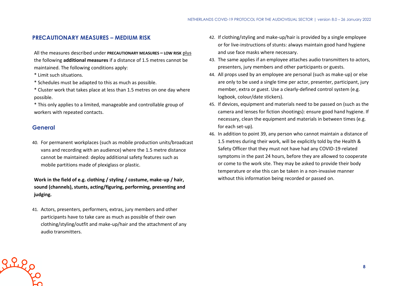#### **PRECAUTIONARY MEASURES – MEDIUM RISK**

All the measures described under **PRECAUTIONARY MEASURES – LOW RISK** plus the following **additional measures** if a distance of 1.5 metres cannot be maintained. The following conditions apply:

- \* Limit such situations.
- \* Schedules must be adapted to this as much as possible.
- \* Cluster work that takes place at less than 1.5 metres on one day where possible.
- \* This only applies to a limited, manageable and controllable group of workers with repeated contacts.

#### **General**

Riles

40. For permanent workplaces (such as mobile production units/broadcast vans and recording with an audience) where the 1.5 metre distance cannot be maintained: deploy additional safety features such as mobile partitions made of plexiglass or plastic.

**Work in the field of e.g. clothing / styling / costume, make-up / hair, sound (channels), stunts, acting/figuring, performing, presenting and judging.**

41. Actors, presenters, performers, extras, jury members and other participants have to take care as much as possible of their own clothing/styling/outfit and make-up/hair and the attachment of any audio transmitters.

- 42. If clothing/styling and make-up/hair is provided by a single employee or for live-instructions of stunts: always maintain good hand hygiene and use face masks where necessary.
- 43. The same applies if an employee attaches audio transmitters to actors, presenters, jury members and other participants or guests.
- 44. All props used by an employee are personal (such as make-up) or else are only to be used a single time per actor, presenter, participant, jury member, extra or guest. Use a clearly-defined control system (e.g. logbook, colour/date stickers).
- 45. If devices, equipment and materials need to be passed on (such as the camera and lenses for fiction shootings): ensure good hand hygiene. If necessary, clean the equipment and materials in between times (e.g. for each set-up).
- 46. In addition to point 39, any person who cannot maintain a distance of 1.5 metres during their work, will be explicitly told by the Health & Safety Officer that they must not have had any COVID-19-related symptoms in the past 24 hours, before they are allowed to cooperate or come to the work site. They may be asked to provide their body temperature or else this can be taken in a non-invasive manner without this information being recorded or passed on.